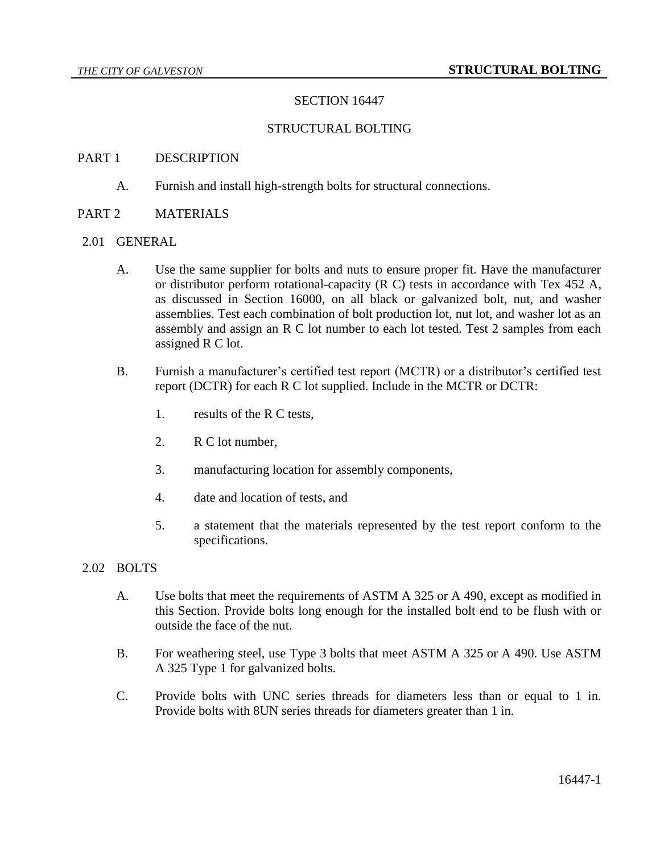## SECTION 16447

### STRUCTURAL BOLTING

#### PART 1 DESCRIPTION

A. Furnish and install high-strength bolts for structural connections.

### PART 2 MATERIALS

#### 2.01 GENERAL

- A. Use the same supplier for bolts and nuts to ensure proper fit. Have the manufacturer or distributor perform rotational-capacity (R C) tests in accordance with Tex 452 A, as discussed in Section 16000, on all black or galvanized bolt, nut, and washer assemblies. Test each combination of bolt production lot, nut lot, and washer lot as an assembly and assign an R C lot number to each lot tested. Test 2 samples from each assigned R C lot.
- B. Furnish a manufacturer's certified test report (MCTR) or a distributor's certified test report (DCTR) for each R C lot supplied. Include in the MCTR or DCTR:
	- 1. results of the R C tests,
	- 2. R C lot number,
	- 3. manufacturing location for assembly components,
	- 4. date and location of tests, and
	- 5. a statement that the materials represented by the test report conform to the specifications.
- 2.02 BOLTS
	- A. Use bolts that meet the requirements of ASTM A 325 or A 490, except as modified in this Section. Provide bolts long enough for the installed bolt end to be flush with or outside the face of the nut.
	- B. For weathering steel, use Type 3 bolts that meet ASTM A 325 or A 490. Use ASTM A 325 Type 1 for galvanized bolts.
	- C. Provide bolts with UNC series threads for diameters less than or equal to 1 in. Provide bolts with 8UN series threads for diameters greater than 1 in.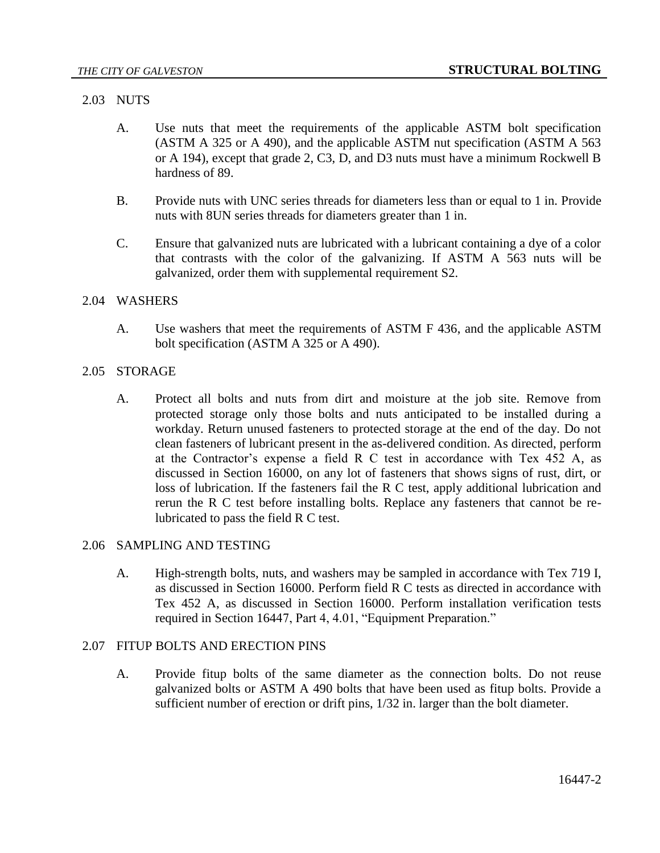## 2.03 NUTS

- A. Use nuts that meet the requirements of the applicable ASTM bolt specification (ASTM A 325 or A 490), and the applicable ASTM nut specification (ASTM A 563 or A 194), except that grade 2, C3, D, and D3 nuts must have a minimum Rockwell B hardness of 89.
- B. Provide nuts with UNC series threads for diameters less than or equal to 1 in. Provide nuts with 8UN series threads for diameters greater than 1 in.
- C. Ensure that galvanized nuts are lubricated with a lubricant containing a dye of a color that contrasts with the color of the galvanizing. If ASTM A 563 nuts will be galvanized, order them with supplemental requirement S2.

### 2.04 WASHERS

A. Use washers that meet the requirements of ASTM F 436, and the applicable ASTM bolt specification (ASTM A 325 or A 490).

### 2.05 STORAGE

A. Protect all bolts and nuts from dirt and moisture at the job site. Remove from protected storage only those bolts and nuts anticipated to be installed during a workday. Return unused fasteners to protected storage at the end of the day. Do not clean fasteners of lubricant present in the as-delivered condition. As directed, perform at the Contractor's expense a field R C test in accordance with Tex 452 A, as discussed in Section 16000, on any lot of fasteners that shows signs of rust, dirt, or loss of lubrication. If the fasteners fail the R C test, apply additional lubrication and rerun the R C test before installing bolts. Replace any fasteners that cannot be relubricated to pass the field R C test.

### 2.06 SAMPLING AND TESTING

A. High-strength bolts, nuts, and washers may be sampled in accordance with Tex 719 I, as discussed in Section 16000. Perform field R C tests as directed in accordance with Tex 452 A, as discussed in Section 16000. Perform installation verification tests required in Section 16447, Part 4, 4.01, "Equipment Preparation."

### 2.07 FITUP BOLTS AND ERECTION PINS

A. Provide fitup bolts of the same diameter as the connection bolts. Do not reuse galvanized bolts or ASTM A 490 bolts that have been used as fitup bolts. Provide a sufficient number of erection or drift pins, 1/32 in. larger than the bolt diameter.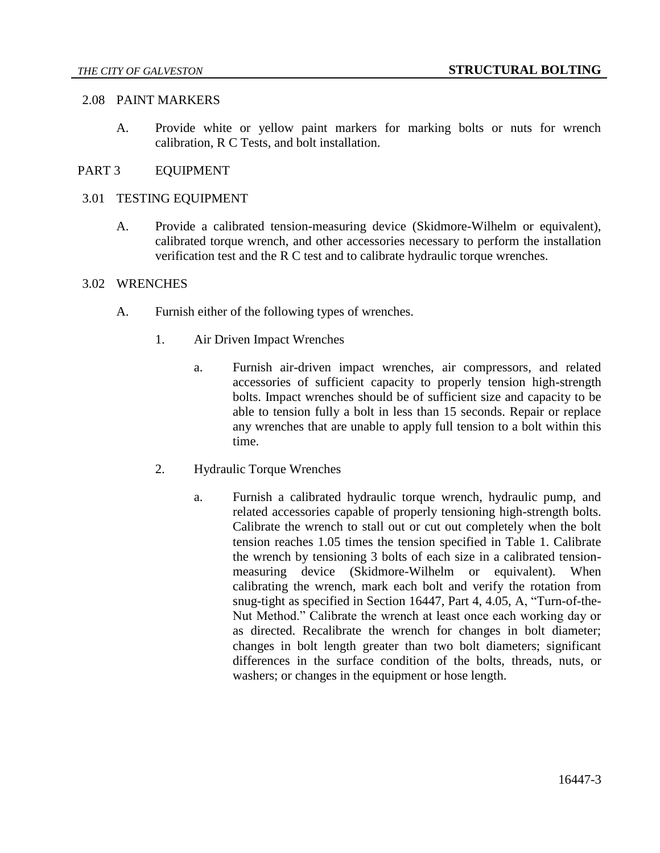#### 2.08 PAINT MARKERS

A. Provide white or yellow paint markers for marking bolts or nuts for wrench calibration, R C Tests, and bolt installation.

### PART 3 EQUIPMENT

#### 3.01 TESTING EQUIPMENT

A. Provide a calibrated tension-measuring device (Skidmore-Wilhelm or equivalent), calibrated torque wrench, and other accessories necessary to perform the installation verification test and the R C test and to calibrate hydraulic torque wrenches.

#### 3.02 WRENCHES

- A. Furnish either of the following types of wrenches.
	- 1. Air Driven Impact Wrenches
		- a. Furnish air-driven impact wrenches, air compressors, and related accessories of sufficient capacity to properly tension high-strength bolts. Impact wrenches should be of sufficient size and capacity to be able to tension fully a bolt in less than 15 seconds. Repair or replace any wrenches that are unable to apply full tension to a bolt within this time.
	- 2. Hydraulic Torque Wrenches
		- a. Furnish a calibrated hydraulic torque wrench, hydraulic pump, and related accessories capable of properly tensioning high-strength bolts. Calibrate the wrench to stall out or cut out completely when the bolt tension reaches 1.05 times the tension specified in Table 1. Calibrate the wrench by tensioning 3 bolts of each size in a calibrated tensionmeasuring device (Skidmore-Wilhelm or equivalent). When calibrating the wrench, mark each bolt and verify the rotation from snug-tight as specified in Section 16447, Part 4, 4.05, A, "Turn-of-the-Nut Method." Calibrate the wrench at least once each working day or as directed. Recalibrate the wrench for changes in bolt diameter; changes in bolt length greater than two bolt diameters; significant differences in the surface condition of the bolts, threads, nuts, or washers; or changes in the equipment or hose length.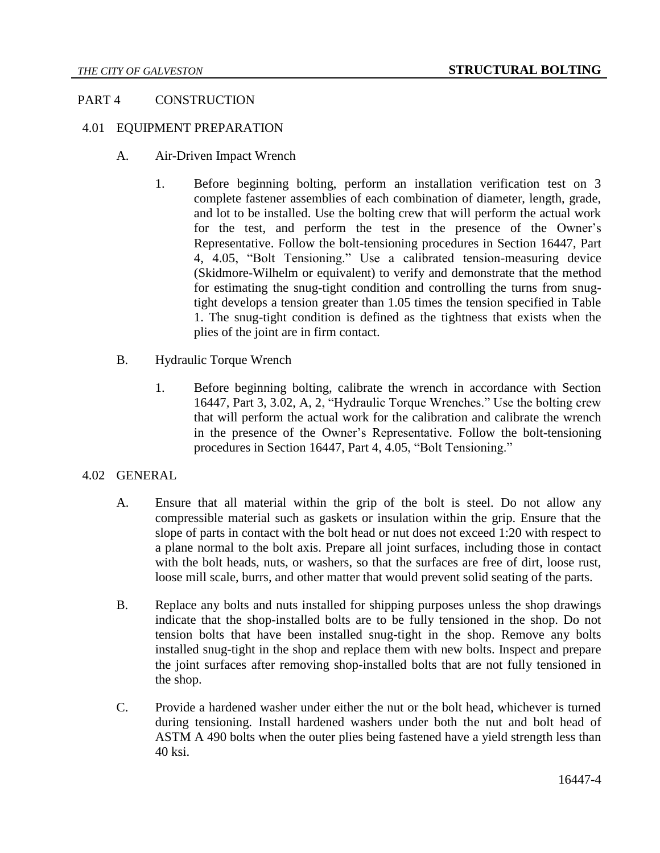### PART 4 CONSTRUCTION

### 4.01 EQUIPMENT PREPARATION

- A. Air-Driven Impact Wrench
	- 1. Before beginning bolting, perform an installation verification test on 3 complete fastener assemblies of each combination of diameter, length, grade, and lot to be installed. Use the bolting crew that will perform the actual work for the test, and perform the test in the presence of the Owner's Representative. Follow the bolt-tensioning procedures in Section 16447, Part 4, 4.05, "Bolt Tensioning." Use a calibrated tension-measuring device (Skidmore-Wilhelm or equivalent) to verify and demonstrate that the method for estimating the snug-tight condition and controlling the turns from snugtight develops a tension greater than 1.05 times the tension specified in Table 1. The snug-tight condition is defined as the tightness that exists when the plies of the joint are in firm contact.
- B. Hydraulic Torque Wrench
	- 1. Before beginning bolting, calibrate the wrench in accordance with Section 16447, Part 3, 3.02, A, 2, "Hydraulic Torque Wrenches." Use the bolting crew that will perform the actual work for the calibration and calibrate the wrench in the presence of the Owner's Representative. Follow the bolt-tensioning procedures in Section 16447, Part 4, 4.05, "Bolt Tensioning."

#### 4.02 GENERAL

- A. Ensure that all material within the grip of the bolt is steel. Do not allow any compressible material such as gaskets or insulation within the grip. Ensure that the slope of parts in contact with the bolt head or nut does not exceed 1:20 with respect to a plane normal to the bolt axis. Prepare all joint surfaces, including those in contact with the bolt heads, nuts, or washers, so that the surfaces are free of dirt, loose rust, loose mill scale, burrs, and other matter that would prevent solid seating of the parts.
- B. Replace any bolts and nuts installed for shipping purposes unless the shop drawings indicate that the shop-installed bolts are to be fully tensioned in the shop. Do not tension bolts that have been installed snug-tight in the shop. Remove any bolts installed snug-tight in the shop and replace them with new bolts. Inspect and prepare the joint surfaces after removing shop-installed bolts that are not fully tensioned in the shop.
- C. Provide a hardened washer under either the nut or the bolt head, whichever is turned during tensioning. Install hardened washers under both the nut and bolt head of ASTM A 490 bolts when the outer plies being fastened have a yield strength less than 40 ksi.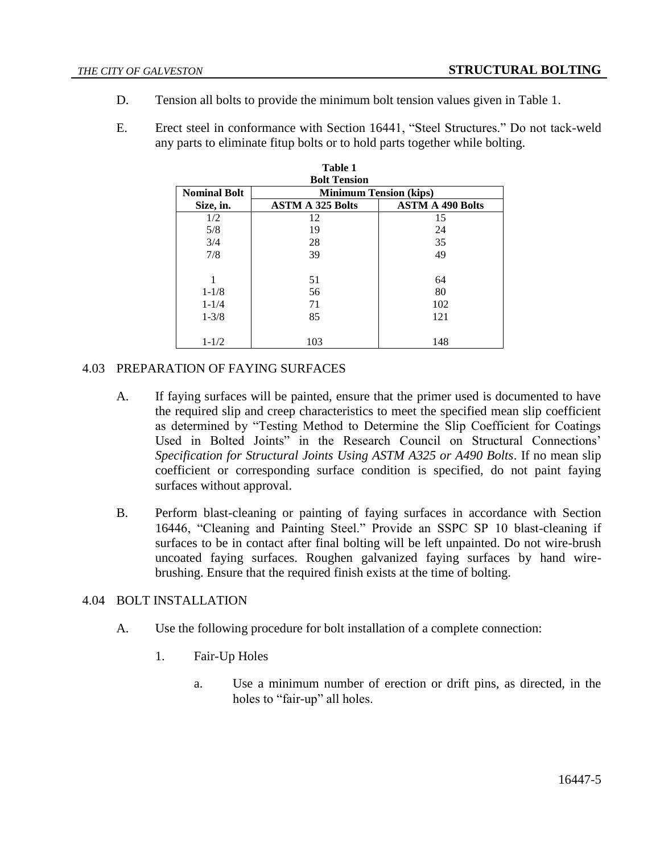- D. Tension all bolts to provide the minimum bolt tension values given in Table 1.
- E. Erect steel in conformance with Section 16441, "Steel Structures." Do not tack-weld any parts to eliminate fitup bolts or to hold parts together while bolting.

| Table 1<br><b>Bolt Tension</b> |                         |                         |  |  |
|--------------------------------|-------------------------|-------------------------|--|--|
|                                |                         |                         |  |  |
| Size, in.                      | <b>ASTM A 325 Bolts</b> | <b>ASTM A 490 Bolts</b> |  |  |
| 1/2                            | 12                      | 15                      |  |  |
| 5/8                            | 19                      | 24                      |  |  |
| 3/4                            | 28                      | 35                      |  |  |
| 7/8                            | 39                      | 49                      |  |  |
| 1                              | 51                      | 64                      |  |  |
| $1 - 1/8$                      | 56                      | 80                      |  |  |
| $1 - 1/4$                      | 71                      | 102                     |  |  |
| $1 - \frac{3}{8}$              | 85                      | 121                     |  |  |
|                                |                         |                         |  |  |
| $1 - 1/2$                      | 103                     | 148                     |  |  |

### 4.03 PREPARATION OF FAYING SURFACES

- A. If faying surfaces will be painted, ensure that the primer used is documented to have the required slip and creep characteristics to meet the specified mean slip coefficient as determined by "Testing Method to Determine the Slip Coefficient for Coatings Used in Bolted Joints" in the Research Council on Structural Connections' *Specification for Structural Joints Using ASTM A325 or A490 Bolts*. If no mean slip coefficient or corresponding surface condition is specified, do not paint faying surfaces without approval.
- B. Perform blast-cleaning or painting of faying surfaces in accordance with Section 16446, "Cleaning and Painting Steel." Provide an SSPC SP 10 blast-cleaning if surfaces to be in contact after final bolting will be left unpainted. Do not wire-brush uncoated faying surfaces. Roughen galvanized faying surfaces by hand wirebrushing. Ensure that the required finish exists at the time of bolting.

#### 4.04 BOLT INSTALLATION

- A. Use the following procedure for bolt installation of a complete connection:
	- 1. Fair-Up Holes
		- a. Use a minimum number of erection or drift pins, as directed, in the holes to "fair-up" all holes.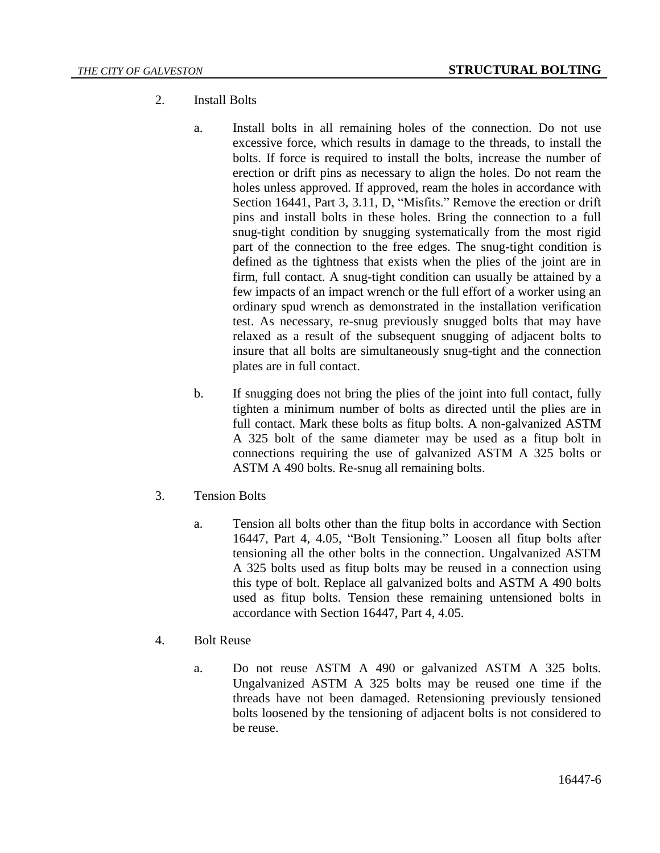- 2. Install Bolts
	- a. Install bolts in all remaining holes of the connection. Do not use excessive force, which results in damage to the threads, to install the bolts. If force is required to install the bolts, increase the number of erection or drift pins as necessary to align the holes. Do not ream the holes unless approved. If approved, ream the holes in accordance with Section 16441, Part 3, 3.11, D, "Misfits." Remove the erection or drift pins and install bolts in these holes. Bring the connection to a full snug-tight condition by snugging systematically from the most rigid part of the connection to the free edges. The snug-tight condition is defined as the tightness that exists when the plies of the joint are in firm, full contact. A snug-tight condition can usually be attained by a few impacts of an impact wrench or the full effort of a worker using an ordinary spud wrench as demonstrated in the installation verification test. As necessary, re-snug previously snugged bolts that may have relaxed as a result of the subsequent snugging of adjacent bolts to insure that all bolts are simultaneously snug-tight and the connection plates are in full contact.
	- b. If snugging does not bring the plies of the joint into full contact, fully tighten a minimum number of bolts as directed until the plies are in full contact. Mark these bolts as fitup bolts. A non-galvanized ASTM A 325 bolt of the same diameter may be used as a fitup bolt in connections requiring the use of galvanized ASTM A 325 bolts or ASTM A 490 bolts. Re-snug all remaining bolts.
- 3. Tension Bolts
	- a. Tension all bolts other than the fitup bolts in accordance with Section 16447, Part 4, 4.05, "Bolt Tensioning." Loosen all fitup bolts after tensioning all the other bolts in the connection. Ungalvanized ASTM A 325 bolts used as fitup bolts may be reused in a connection using this type of bolt. Replace all galvanized bolts and ASTM A 490 bolts used as fitup bolts. Tension these remaining untensioned bolts in accordance with Section 16447, Part 4, 4.05.
- 4. Bolt Reuse
	- a. Do not reuse ASTM A 490 or galvanized ASTM A 325 bolts. Ungalvanized ASTM A 325 bolts may be reused one time if the threads have not been damaged. Retensioning previously tensioned bolts loosened by the tensioning of adjacent bolts is not considered to be reuse.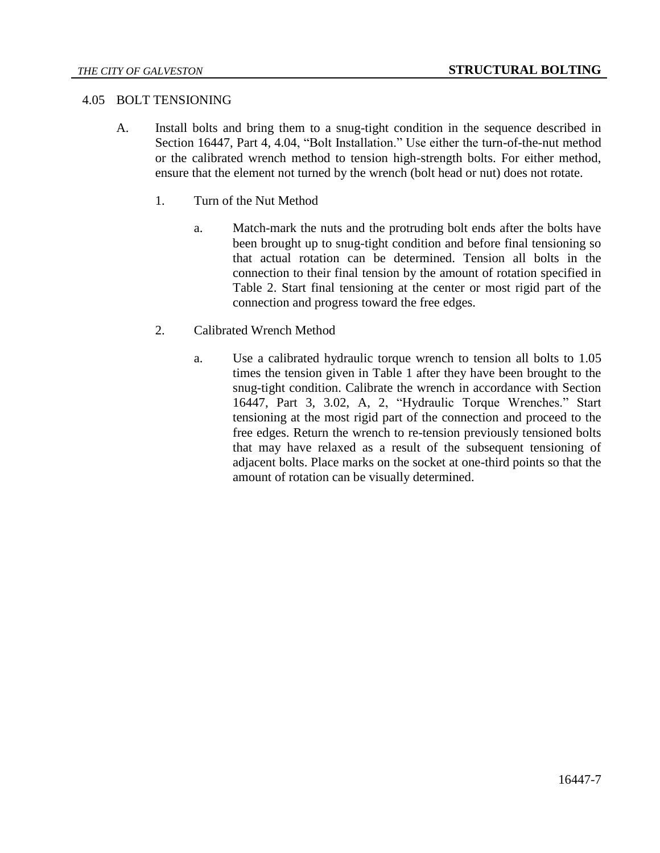#### 4.05 BOLT TENSIONING

- A. Install bolts and bring them to a snug-tight condition in the sequence described in Section 16447, Part 4, 4.04, "Bolt Installation." Use either the turn-of-the-nut method or the calibrated wrench method to tension high-strength bolts. For either method, ensure that the element not turned by the wrench (bolt head or nut) does not rotate.
	- 1. Turn of the Nut Method
		- a. Match-mark the nuts and the protruding bolt ends after the bolts have been brought up to snug-tight condition and before final tensioning so that actual rotation can be determined. Tension all bolts in the connection to their final tension by the amount of rotation specified in Table 2. Start final tensioning at the center or most rigid part of the connection and progress toward the free edges.
	- 2. Calibrated Wrench Method
		- a. Use a calibrated hydraulic torque wrench to tension all bolts to 1.05 times the tension given in Table 1 after they have been brought to the snug-tight condition. Calibrate the wrench in accordance with Section 16447, Part 3, 3.02, A, 2, "Hydraulic Torque Wrenches." Start tensioning at the most rigid part of the connection and proceed to the free edges. Return the wrench to re-tension previously tensioned bolts that may have relaxed as a result of the subsequent tensioning of adjacent bolts. Place marks on the socket at one-third points so that the amount of rotation can be visually determined.